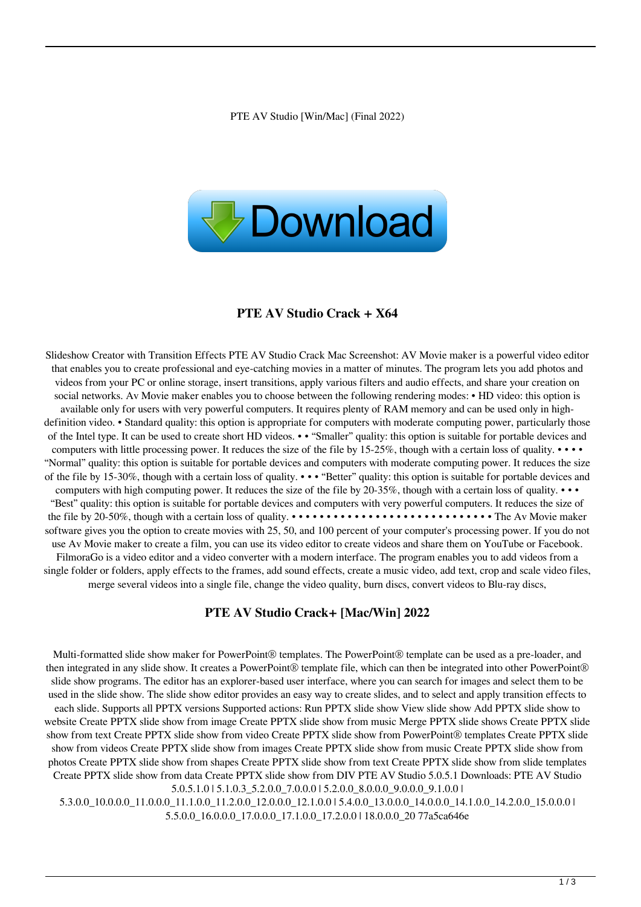

## **PTE AV Studio Crack + X64**

Slideshow Creator with Transition Effects PTE AV Studio Crack Mac Screenshot: AV Movie maker is a powerful video editor that enables you to create professional and eye-catching movies in a matter of minutes. The program lets you add photos and videos from your PC or online storage, insert transitions, apply various filters and audio effects, and share your creation on social networks. Av Movie maker enables you to choose between the following rendering modes: • HD video: this option is available only for users with very powerful computers. It requires plenty of RAM memory and can be used only in highdefinition video. • Standard quality: this option is appropriate for computers with moderate computing power, particularly those of the Intel type. It can be used to create short HD videos. • • "Smaller" quality: this option is suitable for portable devices and computers with little processing power. It reduces the size of the file by 15-25%, though with a certain loss of quality. • • • • "Normal" quality: this option is suitable for portable devices and computers with moderate computing power. It reduces the size of the file by 15-30%, though with a certain loss of quality. • • • "Better" quality: this option is suitable for portable devices and computers with high computing power. It reduces the size of the file by 20-35%, though with a certain loss of quality.  $\cdots$ "Best" quality: this option is suitable for portable devices and computers with very powerful computers. It reduces the size of the file by 20-50%, though with a certain loss of quality. • • • • • • • • • • • • • • • • • • • • • • • • • • • • • The Av Movie maker software gives you the option to create movies with 25, 50, and 100 percent of your computer's processing power. If you do not use Av Movie maker to create a film, you can use its video editor to create videos and share them on YouTube or Facebook. FilmoraGo is a video editor and a video converter with a modern interface. The program enables you to add videos from a single folder or folders, apply effects to the frames, add sound effects, create a music video, add text, crop and scale video files, merge several videos into a single file, change the video quality, burn discs, convert videos to Blu-ray discs,

#### **PTE AV Studio Crack+ [Mac/Win] 2022**

Multi-formatted slide show maker for PowerPoint® templates. The PowerPoint® template can be used as a pre-loader, and then integrated in any slide show. It creates a PowerPoint® template file, which can then be integrated into other PowerPoint® slide show programs. The editor has an explorer-based user interface, where you can search for images and select them to be used in the slide show. The slide show editor provides an easy way to create slides, and to select and apply transition effects to each slide. Supports all PPTX versions Supported actions: Run PPTX slide show View slide show Add PPTX slide show to website Create PPTX slide show from image Create PPTX slide show from music Merge PPTX slide shows Create PPTX slide show from text Create PPTX slide show from video Create PPTX slide show from PowerPoint® templates Create PPTX slide show from videos Create PPTX slide show from images Create PPTX slide show from music Create PPTX slide show from photos Create PPTX slide show from shapes Create PPTX slide show from text Create PPTX slide show from slide templates Create PPTX slide show from data Create PPTX slide show from DIV PTE AV Studio 5.0.5.1 Downloads: PTE AV Studio 5.0.5.1.0 | 5.1.0.3\_5.2.0.0\_7.0.0.0 | 5.2.0.0\_8.0.0.0\_9.0.0.0\_9.1.0.0 |

5.3.0.0\_10.0.0.0\_11.0.0.0\_11.1.0.0\_11.2.0.0\_12.0.0.0\_12.1.0.0 | 5.4.0.0\_13.0.0.0\_14.0.0.0\_14.1.0.0\_14.2.0.0\_15.0.0.0 | 5.5.0.0\_16.0.0.0\_17.0.0.0\_17.1.0.0\_17.2.0.0 | 18.0.0.0\_20 77a5ca646e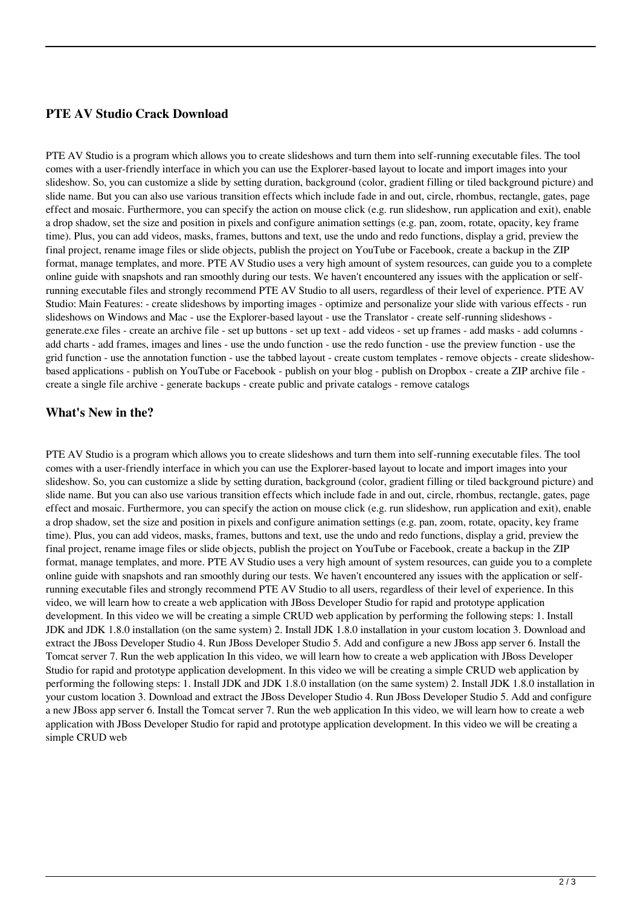## **PTE AV Studio Crack Download**

PTE AV Studio is a program which allows you to create slideshows and turn them into self-running executable files. The tool comes with a user-friendly interface in which you can use the Explorer-based layout to locate and import images into your slideshow. So, you can customize a slide by setting duration, background (color, gradient filling or tiled background picture) and slide name. But you can also use various transition effects which include fade in and out, circle, rhombus, rectangle, gates, page effect and mosaic. Furthermore, you can specify the action on mouse click (e.g. run slideshow, run application and exit), enable a drop shadow, set the size and position in pixels and configure animation settings (e.g. pan, zoom, rotate, opacity, key frame time). Plus, you can add videos, masks, frames, buttons and text, use the undo and redo functions, display a grid, preview the final project, rename image files or slide objects, publish the project on YouTube or Facebook, create a backup in the ZIP format, manage templates, and more. PTE AV Studio uses a very high amount of system resources, can guide you to a complete online guide with snapshots and ran smoothly during our tests. We haven't encountered any issues with the application or selfrunning executable files and strongly recommend PTE AV Studio to all users, regardless of their level of experience. PTE AV Studio: Main Features: - create slideshows by importing images - optimize and personalize your slide with various effects - run slideshows on Windows and Mac - use the Explorer-based layout - use the Translator - create self-running slideshows generate.exe files - create an archive file - set up buttons - set up text - add videos - set up frames - add masks - add columns add charts - add frames, images and lines - use the undo function - use the redo function - use the preview function - use the grid function - use the annotation function - use the tabbed layout - create custom templates - remove objects - create slideshowbased applications - publish on YouTube or Facebook - publish on your blog - publish on Dropbox - create a ZIP archive file create a single file archive - generate backups - create public and private catalogs - remove catalogs

### **What's New in the?**

PTE AV Studio is a program which allows you to create slideshows and turn them into self-running executable files. The tool comes with a user-friendly interface in which you can use the Explorer-based layout to locate and import images into your slideshow. So, you can customize a slide by setting duration, background (color, gradient filling or tiled background picture) and slide name. But you can also use various transition effects which include fade in and out, circle, rhombus, rectangle, gates, page effect and mosaic. Furthermore, you can specify the action on mouse click (e.g. run slideshow, run application and exit), enable a drop shadow, set the size and position in pixels and configure animation settings (e.g. pan, zoom, rotate, opacity, key frame time). Plus, you can add videos, masks, frames, buttons and text, use the undo and redo functions, display a grid, preview the final project, rename image files or slide objects, publish the project on YouTube or Facebook, create a backup in the ZIP format, manage templates, and more. PTE AV Studio uses a very high amount of system resources, can guide you to a complete online guide with snapshots and ran smoothly during our tests. We haven't encountered any issues with the application or selfrunning executable files and strongly recommend PTE AV Studio to all users, regardless of their level of experience. In this video, we will learn how to create a web application with JBoss Developer Studio for rapid and prototype application development. In this video we will be creating a simple CRUD web application by performing the following steps: 1. Install JDK and JDK 1.8.0 installation (on the same system) 2. Install JDK 1.8.0 installation in your custom location 3. Download and extract the JBoss Developer Studio 4. Run JBoss Developer Studio 5. Add and configure a new JBoss app server 6. Install the Tomcat server 7. Run the web application In this video, we will learn how to create a web application with JBoss Developer Studio for rapid and prototype application development. In this video we will be creating a simple CRUD web application by performing the following steps: 1. Install JDK and JDK 1.8.0 installation (on the same system) 2. Install JDK 1.8.0 installation in your custom location 3. Download and extract the JBoss Developer Studio 4. Run JBoss Developer Studio 5. Add and configure a new JBoss app server 6. Install the Tomcat server 7. Run the web application In this video, we will learn how to create a web application with JBoss Developer Studio for rapid and prototype application development. In this video we will be creating a simple CRUD web